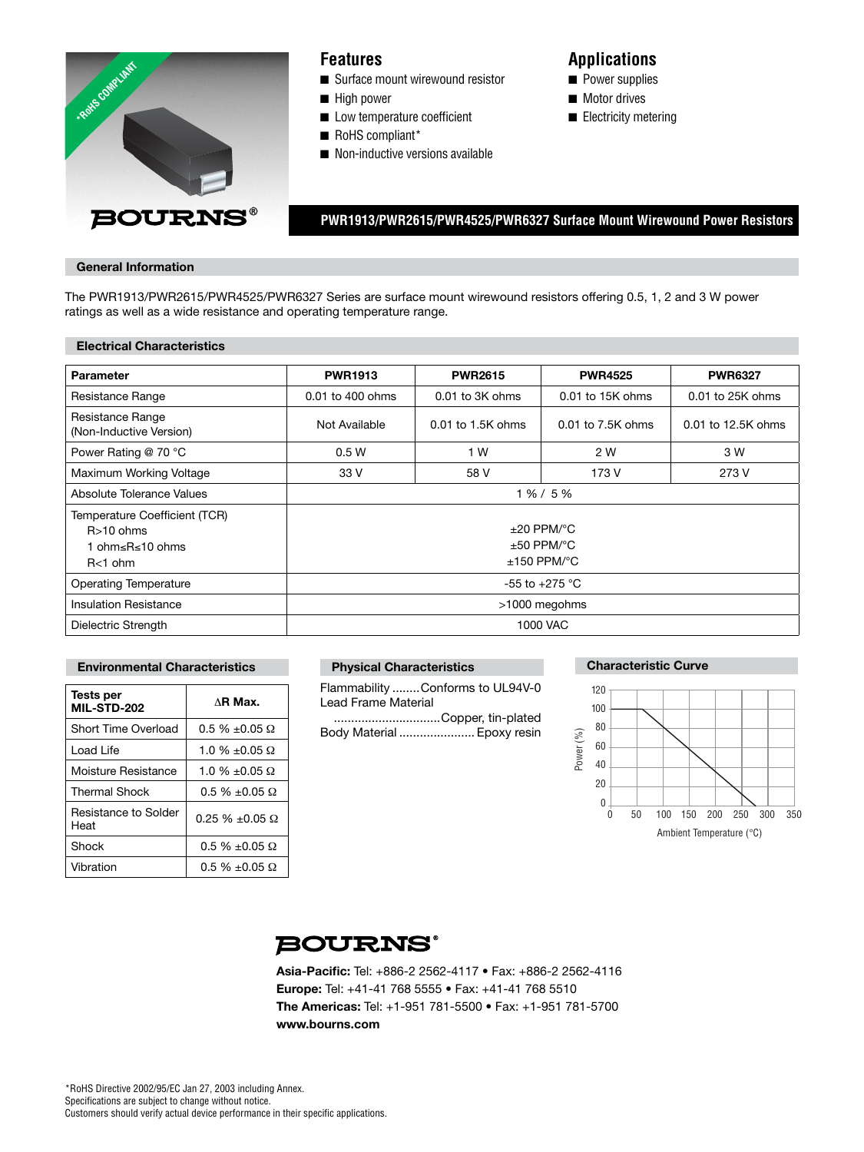

## **Features**

- Surface mount wirewound resistor
- High power
- Low temperature coefficient
- RoHS compliant\*
- Non-inductive versions available

# **Applications**

- Power supplies
- Motor drives
- Electricity metering

 **PWR1913/PWR2615/PWR4525/PWR6327 Surface Mount Wirewound Power Resistors**

### **General Information**

The PWR1913/PWR2615/PWR4525/PWR6327 Series are surface mount wirewound resistors offering 0.5, 1, 2 and 3 W power ratings as well as a wide resistance and operating temperature range.

#### **Electrical Characteristics**

| Parameter                                                                  | <b>PWR1913</b>                                                             | <b>PWR2615</b>      | <b>PWR4525</b>     | <b>PWR6327</b>     |  |
|----------------------------------------------------------------------------|----------------------------------------------------------------------------|---------------------|--------------------|--------------------|--|
| Resistance Range                                                           | 0.01 to 400 ohms                                                           | $0.01$ to $3K$ ohms | $0.01$ to 15K ohms | 0.01 to 25K ohms   |  |
| Resistance Range<br>(Non-Inductive Version)                                | Not Available                                                              | $0.01$ to 1.5K ohms | 0.01 to 7.5K ohms  | 0.01 to 12.5K ohms |  |
| Power Rating @ 70 °C                                                       | 0.5W                                                                       | 1 W                 | 2 W                | 3 W                |  |
| Maximum Working Voltage                                                    | 33 V                                                                       | 58 V                | 173 V              | 273 V              |  |
| Absolute Tolerance Values                                                  | 1 % / 5 %                                                                  |                     |                    |                    |  |
| Temperature Coefficient (TCR)<br>$R>10$ ohms<br>ohm≤R≤10 ohms<br>$R<1$ ohm | $\pm 20$ PPM/ $\degree$ C<br>$\pm 50$ PPM/ $\degree$ C<br>$±150$ PPM/ $°C$ |                     |                    |                    |  |
| <b>Operating Temperature</b>                                               | $-55$ to $+275$ °C                                                         |                     |                    |                    |  |
| <b>Insulation Resistance</b>                                               | >1000 megohms                                                              |                     |                    |                    |  |
| Dielectric Strength                                                        | 1000 VAC                                                                   |                     |                    |                    |  |

#### **Environmental Characteristics**

| Tests per<br><b>MIL-STD-202</b> | $\triangle$ R Max.         |
|---------------------------------|----------------------------|
| Short Time Overload             | $0.5 \% \pm 0.05$ $\Omega$ |
| Load Life                       | 1.0 % $\pm$ 0.05 $\Omega$  |
| Moisture Resistance             | 1.0 % $\pm$ 0.05 $\Omega$  |
| <b>Thermal Shock</b>            | $0.5 \% \pm 0.05 \Omega$   |
| Resistance to Solder<br>Heat    | $0.25 \% \pm 0.05 \Omega$  |
| Shock                           | $0.5 \% \pm 0.05$ $\Omega$ |
| Vibration                       | $0.5 \% \pm 0.05 \Omega$   |

## **Physical Characteristics**

Flammability ........Conforms to UL94V-0 Lead Frame Material

...............................Copper, tin-plated Body Material ...................... Epoxy resin

## **Characteristic Curve**



# **BOURNS®**

Asia-Pacific: Tel: +886-2 2562-4117 • Fax: +886-2 2562-4116 **Europe:** Tel: +41-41 768 5555 • Fax: +41-41 768 5510 **The Americas:** Tel: +1-951 781-5500 • Fax: +1-951 781-5700 **www.bourns.com**